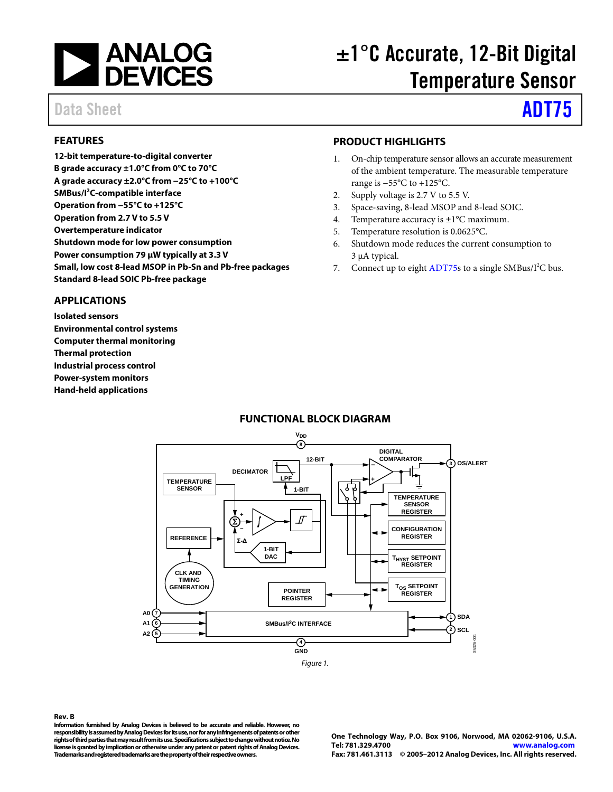

# ±1°C Accurate, 12-Bit Digital Temperature Sensor

# Data Sheet **[ADT75](http://www.analog.com/ADT75)**

#### <span id="page-0-0"></span>**FEATURES**

**12-bit temperature-to-digital converter B grade accuracy ±1.0°C from 0°C to 70°C A grade accuracy ±2.0°C from −25°C to +100°C SMBus/I2 C-compatible interface Operation from −55°C to +125°C Operation from 2.7 V to 5.5 V Overtemperature indicator Shutdown mode for low power consumption Power consumption 79 µW typically at 3.3 V Small, low cost 8-lead MSOP in Pb-Sn and Pb-free packages Standard 8-lead SOIC Pb-free package**

#### <span id="page-0-1"></span>**APPLICATIONS**

**Isolated sensors Environmental control systems Computer thermal monitoring Thermal protection Industrial process control Power-system monitors Hand-held applications**

#### <span id="page-0-2"></span>**PRODUCT HIGHLIGHTS**

- 1. On-chip temperature sensor allows an accurate measurement of the ambient temperature. The measurable temperature range is −55°C to +125°C.
- 2. Supply voltage is 2.7 V to 5.5 V.
- 3. Space-saving, 8-lead MSOP and 8-lead SOIC.
- 4. Temperature accuracy is ±1°C maximum.
- 5. Temperature resolution is 0.0625°C.
- 6. Shutdown mode reduces the current consumption to 3 µA typical.
- 7. Connect up to eigh[t ADT75s](http://www.analog.com/ADT75) to a single SMBus/I<sup>2</sup>C bus.

#### **FUNCTIONAL BLOCK DIAGRAM**

<span id="page-0-3"></span>

#### **Rev. B**

**Information furnished by Analog Devices is believed to be accurate and reliable. However, no responsibility is assumed by Analog Devices for its use, nor for any infringements of patents or other rights of third parties that may result from its use. Specifications subject to change without notice. No license is granted by implication or otherwise under any patent or patent rights of Analog Devices. Trademarks and registered trademarks are the property of their respective owners.**

**One Technology Way, P.O. Box 9106, Norwood, MA 02062-9106, U.S.A. Tel: 781.329.4700 [www.analog.com](http://www.analog.com/) Fax: 781.461.3113 © 2005–2012 Analog Devices, Inc. All rights reserved.**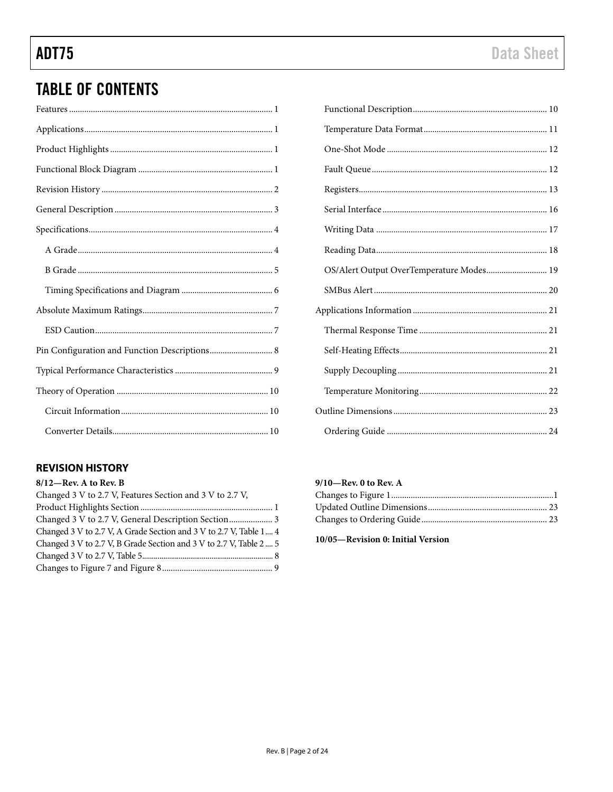## **TABLE OF CONTENTS**

| Pin Configuration and Function Descriptions 8 |
|-----------------------------------------------|
|                                               |
|                                               |
|                                               |
|                                               |

### <span id="page-1-0"></span>**REVISION HISTORY**

| 8/12-Rev. A to Rev. B                                              |  |
|--------------------------------------------------------------------|--|
| Changed 3 V to 2.7 V, Features Section and 3 V to 2.7 V,           |  |
|                                                                    |  |
| Changed 3 V to 2.7 V, General Description Section 3                |  |
| Changed 3 V to 2.7 V, A Grade Section and 3 V to 2.7 V, Table 1 4  |  |
| Changed 3 V to 2.7 V, B Grade Section and 3 V to 2.7 V, Table 2  5 |  |
|                                                                    |  |
|                                                                    |  |

| OS/Alert Output OverTemperature Modes 19 |  |
|------------------------------------------|--|
|                                          |  |
|                                          |  |
|                                          |  |
|                                          |  |
|                                          |  |
|                                          |  |
|                                          |  |
|                                          |  |

#### $9/10$ —Rev. 0 to Rev. A

10/05-Revision 0: Initial Version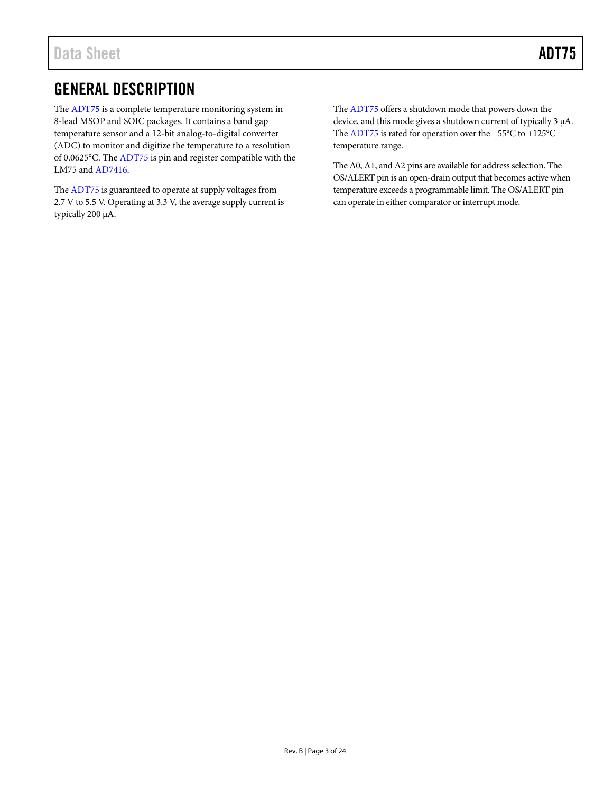## <span id="page-2-0"></span>GENERAL DESCRIPTION

The [ADT75](http://www.analog.com/ADT75) is a complete temperature monitoring system in 8-lead MSOP and SOIC packages. It contains a band gap temperature sensor and a 12-bit analog-to-digital converter (ADC) to monitor and digitize the temperature to a resolution of 0.0625°C. Th[e ADT75](http://www.analog.com/ADT75) is pin and register compatible with the LM75 an[d AD7416.](http://www.analog.com/AD7416)

Th[e ADT75](http://www.analog.com/ADT75) is guaranteed to operate at supply voltages from 2.7 V to 5.5 V. Operating at 3.3 V, the average supply current is typically 200 µA.

Th[e ADT75](http://www.analog.com/ADT75) offers a shutdown mode that powers down the device, and this mode gives a shutdown current of typically 3 µA. Th[e ADT75](http://www.analog.com/ADT75) is rated for operation over the −55°C to +125°C temperature range.

The A0, A1, and A2 pins are available for address selection. The OS/ALERT pin is an open-drain output that becomes active when temperature exceeds a programmable limit. The OS/ALERT pin can operate in either comparator or interrupt mode.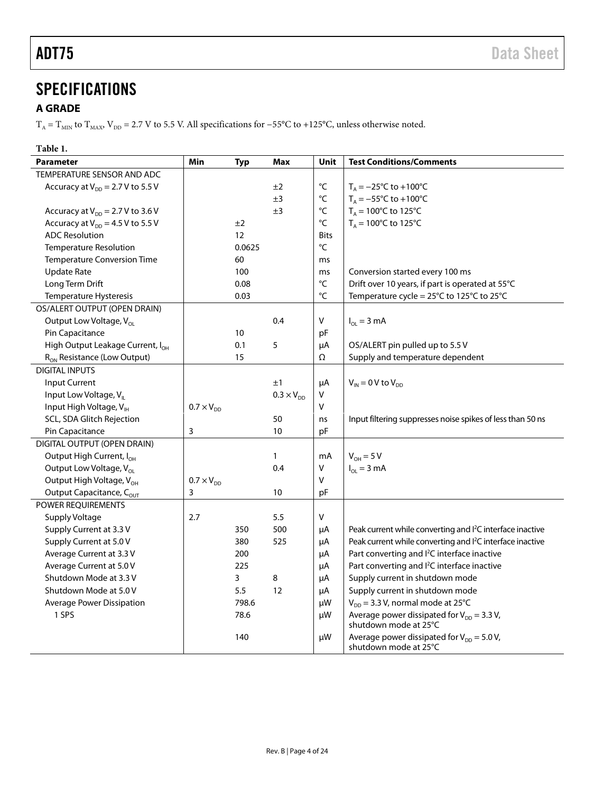## <span id="page-3-0"></span>**SPECIFICATIONS**

### <span id="page-3-1"></span>**A GRADE**

 $T_A = T_{MIN}$  to  $T_{MAX}$ ,  $V_{DD}$  = 2.7 V to 5.5 V. All specifications for −55°C to +125°C, unless otherwise noted.

### **Table 1.**

| <b>Parameter</b>                             | Min                 | <b>Typ</b> | Max                 | Unit              | <b>Test Conditions/Comments</b>                                          |
|----------------------------------------------|---------------------|------------|---------------------|-------------------|--------------------------------------------------------------------------|
| TEMPERATURE SENSOR AND ADC                   |                     |            |                     |                   |                                                                          |
| Accuracy at $V_{DD} = 2.7 V$ to 5.5 V        |                     |            | ±2                  | $^{\circ}{\sf C}$ | $T_A = -25^{\circ}C$ to +100°C                                           |
|                                              |                     |            | ±3                  | $^{\circ}{\sf C}$ | $T_A = -55^{\circ}$ C to +100 $^{\circ}$ C                               |
| Accuracy at $V_{DD} = 2.7 V$ to 3.6 V        |                     |            | ±3                  | °C                | $T_A = 100^{\circ}$ C to 125°C                                           |
| Accuracy at $V_{DD} = 4.5 V$ to 5.5 V        |                     | ±2         |                     | $^{\circ}{\sf C}$ | $T_A = 100^{\circ}$ C to 125°C                                           |
| <b>ADC Resolution</b>                        |                     | 12         |                     | <b>Bits</b>       |                                                                          |
| Temperature Resolution                       |                     | 0.0625     |                     | $^{\circ}{\sf C}$ |                                                                          |
| <b>Temperature Conversion Time</b>           |                     | 60         |                     | ms                |                                                                          |
| Update Rate                                  |                     | 100        |                     | ms                | Conversion started every 100 ms                                          |
| Long Term Drift                              |                     | 0.08       |                     | $^{\circ}{\sf C}$ | Drift over 10 years, if part is operated at 55°C                         |
| Temperature Hysteresis                       |                     | 0.03       |                     | $\rm ^{\circ}C$   | Temperature cycle = 25°C to 125°C to 25°C                                |
| OS/ALERT OUTPUT (OPEN DRAIN)                 |                     |            |                     |                   |                                                                          |
| Output Low Voltage, V <sub>ol</sub>          |                     |            | 0.4                 | $\mathsf V$       | $I_{OL} = 3 mA$                                                          |
| Pin Capacitance                              |                     | 10         |                     | pF                |                                                                          |
| High Output Leakage Current, I <sub>OH</sub> |                     | 0.1        | 5                   | μA                | OS/ALERT pin pulled up to 5.5 V                                          |
| R <sub>ON</sub> Resistance (Low Output)      |                     | 15         |                     | Ω                 | Supply and temperature dependent                                         |
| <b>DIGITAL INPUTS</b>                        |                     |            |                     |                   |                                                                          |
| <b>Input Current</b>                         |                     |            | ±1                  | μA                | $V_{IN}$ = 0 V to $V_{DD}$                                               |
| Input Low Voltage, V <sub>II</sub>           |                     |            | $0.3 \times V_{DD}$ | V                 |                                                                          |
| Input High Voltage, VIH                      | $0.7 \times V_{DD}$ |            |                     | $\mathsf V$       |                                                                          |
| SCL, SDA Glitch Rejection                    |                     |            | 50                  | ns                | Input filtering suppresses noise spikes of less than 50 ns               |
| Pin Capacitance                              | 3                   |            | 10                  | pF                |                                                                          |
| DIGITAL OUTPUT (OPEN DRAIN)                  |                     |            |                     |                   |                                                                          |
| Output High Current, I <sub>OH</sub>         |                     |            | 1                   | mA                | $V_{OH} = 5 V$                                                           |
| Output Low Voltage, V <sub>OL</sub>          |                     |            | 0.4                 | $\sf V$           | $I_{OL} = 3 mA$                                                          |
| Output High Voltage, V <sub>OH</sub>         | $0.7 \times V_{DD}$ |            |                     | V                 |                                                                          |
| Output Capacitance, C <sub>OUT</sub>         | 3                   |            | 10                  | pF                |                                                                          |
| POWER REQUIREMENTS                           |                     |            |                     |                   |                                                                          |
| Supply Voltage                               | 2.7                 |            | 5.5                 | V                 |                                                                          |
| Supply Current at 3.3 V                      |                     | 350        | 500                 | μA                | Peak current while converting and l <sup>2</sup> C interface inactive    |
| Supply Current at 5.0 V                      |                     | 380        | 525                 | μA                | Peak current while converting and I <sup>2</sup> C interface inactive    |
| Average Current at 3.3 V                     |                     | 200        |                     | μA                | Part converting and l <sup>2</sup> C interface inactive                  |
| Average Current at 5.0 V                     |                     | 225        |                     | μA                | Part converting and l <sup>2</sup> C interface inactive                  |
| Shutdown Mode at 3.3 V                       |                     | 3          | 8                   | μA                | Supply current in shutdown mode                                          |
| Shutdown Mode at 5.0 V                       |                     | 5.5        | 12                  | μA                | Supply current in shutdown mode                                          |
| <b>Average Power Dissipation</b>             |                     | 798.6      |                     | μW                | $V_{DD}$ = 3.3 V, normal mode at 25°C                                    |
| 1 SPS                                        |                     | 78.6       |                     | μW                | Average power dissipated for $V_{DD} = 3.3 V$ ,<br>shutdown mode at 25°C |
|                                              |                     | 140        |                     | μW                | Average power dissipated for $V_{DD} = 5.0 V$ ,<br>shutdown mode at 25°C |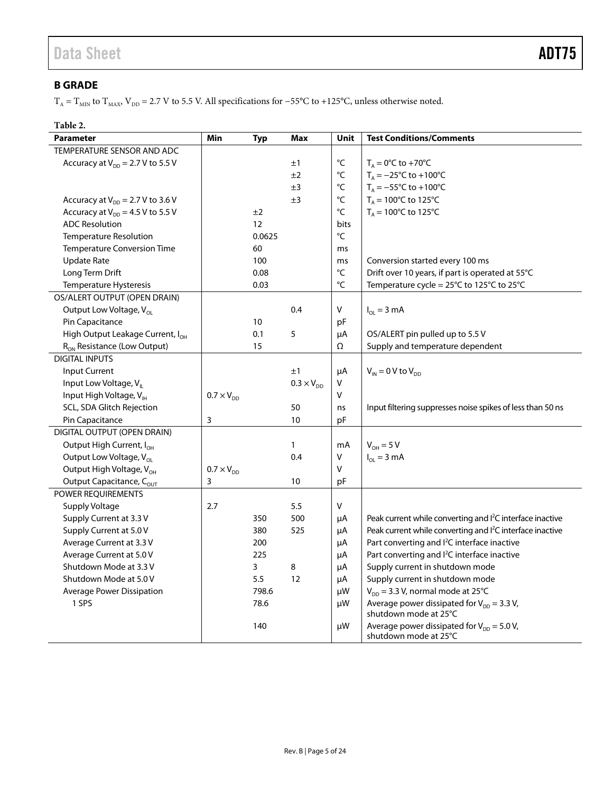### <span id="page-4-0"></span>**B GRADE**

 $T_A = T_{MIN}$  to  $T_{MAX}$ ,  $V_{DD} = 2.7$  V to 5.5 V. All specifications for −55°C to +125°C, unless otherwise noted.

#### **Table 2.**

| <b>Parameter</b>                             | Min                 | <b>Typ</b> | <b>Max</b>          | Unit              | <b>Test Conditions/Comments</b>                                          |
|----------------------------------------------|---------------------|------------|---------------------|-------------------|--------------------------------------------------------------------------|
| TEMPERATURE SENSOR AND ADC                   |                     |            |                     |                   |                                                                          |
| Accuracy at $V_{DD} = 2.7 V$ to 5.5 V        |                     |            | ±1                  | $^{\circ}{\sf C}$ | $T_A = 0$ °C to +70°C                                                    |
|                                              |                     |            | ±2                  | $^{\circ}{\sf C}$ | $T_A = -25^{\circ}C$ to +100°C                                           |
|                                              |                     |            | ±3                  | $^{\circ}{\sf C}$ | $T_A = -55^{\circ}$ C to +100 $^{\circ}$ C                               |
| Accuracy at $V_{DD} = 2.7 V$ to 3.6 V        |                     |            | ±3                  | °C                | $T_A = 100^{\circ}$ C to 125°C                                           |
| Accuracy at $V_{DD} = 4.5 V$ to 5.5 V        |                     | ±2         |                     | °C                | $T_A = 100^{\circ}$ C to 125°C                                           |
| <b>ADC Resolution</b>                        |                     | 12         |                     | <b>bits</b>       |                                                                          |
| Temperature Resolution                       |                     | 0.0625     |                     | $^{\circ}{\sf C}$ |                                                                          |
| <b>Temperature Conversion Time</b>           |                     | 60         |                     | ms                |                                                                          |
| <b>Update Rate</b>                           |                     | 100        |                     | ms                | Conversion started every 100 ms                                          |
| Long Term Drift                              |                     | 0.08       |                     | $\rm ^{\circ}C$   | Drift over 10 years, if part is operated at 55°C                         |
| Temperature Hysteresis                       |                     | 0.03       |                     | $\rm ^{\circ}C$   | Temperature cycle = 25°C to 125°C to 25°C                                |
| OS/ALERT OUTPUT (OPEN DRAIN)                 |                     |            |                     |                   |                                                                          |
| Output Low Voltage, V <sub>OL</sub>          |                     |            | 0.4                 | V                 | $I_{OL} = 3 \text{ mA}$                                                  |
| Pin Capacitance                              |                     | 10         |                     | pF                |                                                                          |
| High Output Leakage Current, I <sub>OH</sub> |                     | 0.1        | 5                   | μA                | OS/ALERT pin pulled up to 5.5 V                                          |
| R <sub>ON</sub> Resistance (Low Output)      |                     | 15         |                     | Ω                 | Supply and temperature dependent                                         |
| <b>DIGITAL INPUTS</b>                        |                     |            |                     |                   |                                                                          |
| <b>Input Current</b>                         |                     |            | ±1                  | μA                | $V_{IN}$ = 0 V to $V_{DD}$                                               |
| Input Low Voltage, V <sub>II</sub>           |                     |            | $0.3 \times V_{DD}$ | V                 |                                                                          |
| Input High Voltage, VIH                      | $0.7 \times V_{DD}$ |            |                     | $\vee$            |                                                                          |
| SCL, SDA Glitch Rejection                    |                     |            | 50                  | ns                | Input filtering suppresses noise spikes of less than 50 ns               |
| Pin Capacitance                              | 3                   |            | 10                  | рF                |                                                                          |
| DIGITAL OUTPUT (OPEN DRAIN)                  |                     |            |                     |                   |                                                                          |
| Output High Current, I <sub>OH</sub>         |                     |            | 1                   | mA                | $V_{OH} = 5 V$                                                           |
| Output Low Voltage, V <sub>OL</sub>          |                     |            | 0.4                 | $\vee$            | $I_{OL}$ = 3 mA                                                          |
| Output High Voltage, V <sub>OH</sub>         | $0.7 \times V_{DD}$ |            |                     | $\vee$            |                                                                          |
| Output Capacitance, C <sub>OUT</sub>         | 3                   |            | 10                  | рF                |                                                                          |
| POWER REQUIREMENTS                           |                     |            |                     |                   |                                                                          |
| Supply Voltage                               | 2.7                 |            | 5.5                 | V                 |                                                                          |
| Supply Current at 3.3 V                      |                     | 350        | 500                 | μA                | Peak current while converting and l <sup>2</sup> C interface inactive    |
| Supply Current at 5.0 V                      |                     | 380        | 525                 | μA                | Peak current while converting and l <sup>2</sup> C interface inactive    |
| Average Current at 3.3 V                     |                     | 200        |                     | μA                | Part converting and l <sup>2</sup> C interface inactive                  |
| Average Current at 5.0 V                     |                     | 225        |                     | μA                | Part converting and l <sup>2</sup> C interface inactive                  |
| Shutdown Mode at 3.3 V                       |                     | 3          | 8                   | μA                | Supply current in shutdown mode                                          |
| Shutdown Mode at 5.0 V                       |                     | 5.5        | 12                  | μA                | Supply current in shutdown mode                                          |
| Average Power Dissipation                    |                     | 798.6      |                     | μW                | $V_{DD}$ = 3.3 V, normal mode at 25°C                                    |
| 1 SPS                                        |                     | 78.6       |                     | μW                | Average power dissipated for $V_{DD} = 3.3 V$ ,<br>shutdown mode at 25°C |
|                                              |                     | 140        |                     | μW                | Average power dissipated for $V_{DD} = 5.0 V$ ,<br>shutdown mode at 25°C |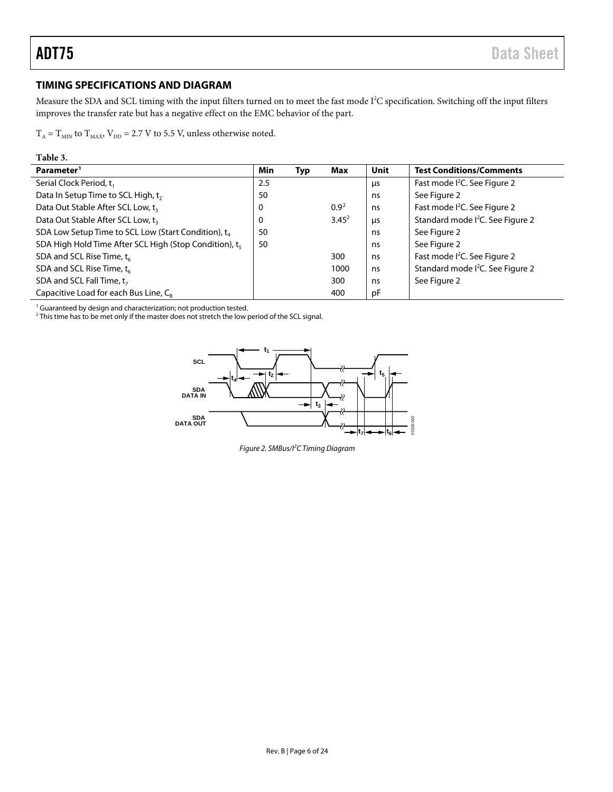#### <span id="page-5-3"></span><span id="page-5-0"></span>**TIMING SPECIFICATIONS AND DIAGRAM**

Measure the SDA and SCL timing with the input filters turned on to meet the fast mode I<sup>2</sup>C specification. Switching off the input filters improves the transfer rate but has a negative effect on the EMC behavior of the part.

 $T_A = T_{MIN}$  to  $T_{MAX}$ ,  $V_{DD} = 2.7$  V to 5.5 V, unless otherwise noted.

#### **Table 3.**

| Parameter <sup>1</sup>                                          | Min      | Typ | Max      | Unit | <b>Test Conditions/Comments</b>              |
|-----------------------------------------------------------------|----------|-----|----------|------|----------------------------------------------|
| Serial Clock Period, t,                                         | 2.5      |     |          | μs   | Fast mode I <sup>2</sup> C. See Figure 2     |
| Data In Setup Time to SCL High, t,                              | 50       |     |          | ns   | See Figure 2                                 |
| Data Out Stable After SCL Low, t <sub>3</sub>                   | 0        |     | $0.9^2$  | ns   | Fast mode I <sup>2</sup> C. See Figure 2     |
| Data Out Stable After SCL Low, t <sub>3</sub>                   | $\Omega$ |     | $3.45^2$ | μs   | Standard mode I <sup>2</sup> C. See Figure 2 |
| SDA Low Setup Time to SCL Low (Start Condition), t <sub>4</sub> | 50       |     |          | ns   | See Figure 2                                 |
| SDA High Hold Time After SCL High (Stop Condition), t.          | 50       |     |          | ns   | See Figure 2                                 |
| SDA and SCL Rise Time, $t_{6}$                                  |          |     | 300      | ns   | Fast mode I <sup>2</sup> C. See Figure 2     |
| SDA and SCL Rise Time, $t_{6}$                                  |          |     | 1000     | ns   | Standard mode I <sup>2</sup> C. See Figure 2 |
| SDA and SCL Fall Time, $t_7$                                    |          |     | 300      | ns   | See Figure 2                                 |
| Capacitive Load for each Bus Line, C <sub>R</sub>               |          |     | 400      | рF   |                                              |

 $1$  Guaranteed by design and characterization; not production tested.

<span id="page-5-1"></span><sup>2</sup> This time has to be met only if the master does not stretch the low period of the SCL signal.

<span id="page-5-2"></span>

*Figure 2. SMBus/I2 C Timing Diagram*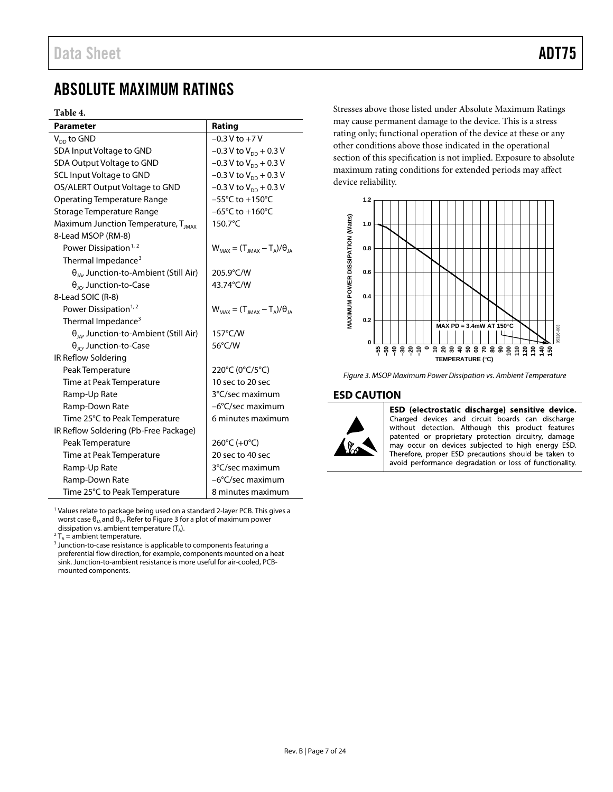## <span id="page-6-0"></span>ABSOLUTE MAXIMUM RATINGS

#### **Table 4.**

| <b>Parameter</b>                                | Rating                                  |
|-------------------------------------------------|-----------------------------------------|
| $V_{DD}$ to GND                                 | $-0.3 V$ to $+7 V$                      |
| SDA Input Voltage to GND                        | $-0.3$ V to V <sub>DD</sub> + 0.3 V     |
| SDA Output Voltage to GND                       | $-0.3 V$ to $V_{DD}$ + 0.3 V            |
| <b>SCL Input Voltage to GND</b>                 | $-0.3$ V to V <sub>DD</sub> + 0.3 V     |
| OS/ALERT Output Voltage to GND                  | $-0.3 V$ to $V_{DD}$ + 0.3 V            |
| <b>Operating Temperature Range</b>              | $-55^{\circ}$ C to $+150^{\circ}$ C     |
| Storage Temperature Range                       | $-65^{\circ}$ C to $+160^{\circ}$ C     |
| Maximum Junction Temperature, T <sub>IMAX</sub> | 150.7°C                                 |
| 8-Lead MSOP (RM-8)                              |                                         |
| Power Dissipation <sup>1, 2</sup>               | $W_{MAX} = (T_{MAX} - T_A)/\theta_{IA}$ |
| Thermal Impedance <sup>3</sup>                  |                                         |
| $\theta_{JA}$ , Junction-to-Ambient (Still Air) | 205.9°C/W                               |
| $\theta_{\text{IC}}$ , Junction-to-Case         | 43.74°C/W                               |
| 8-Lead SOIC (R-8)                               |                                         |
| Power Dissipation <sup>1,2</sup>                | $W_{MAX} = (T_{MAX} - T_A)/\theta_{IA}$ |
| Thermal Impedance <sup>3</sup>                  |                                         |
| $\theta_{IA}$ , Junction-to-Ambient (Still Air) | 157°C/W                                 |
| $\theta_{\text{IC}}$ , Junction-to-Case         | 56°C/W                                  |
| IR Reflow Soldering                             |                                         |
| Peak Temperature                                | 220°C (0°C/5°C)                         |
| Time at Peak Temperature                        | 10 sec to 20 sec                        |
| Ramp-Up Rate                                    | 3°C/sec maximum                         |
| Ramp-Down Rate                                  | -6°C/sec maximum                        |
| Time 25°C to Peak Temperature                   | 6 minutes maximum                       |
| IR Reflow Soldering (Pb-Free Package)           |                                         |
| Peak Temperature                                | 260°C (+0°C)                            |
| Time at Peak Temperature                        | 20 sec to 40 sec                        |
| Ramp-Up Rate                                    | 3°C/sec maximum                         |
| Ramp-Down Rate                                  | -6°C/sec maximum                        |
| Time 25°C to Peak Temperature                   | 8 minutes maximum                       |

<sup>1</sup> Values relate to package being used on a standard 2-layer PCB. This gives a worst case  $\theta_{JA}$  and  $\theta_{JC}$ . Refer t[o Figure 3](#page-6-2) for a plot of maximum power dissipation vs. ambient temperature  $(T_A)$ .

 ${}^{2}T_{A}$  = ambient temperature.<br><sup>3</sup> Junction-to-case resistance is applicable to components featuring a preferential flow direction, for example, components mounted on a heat sink. Junction-to-ambient resistance is more useful for air-cooled, PCBmounted components.

Stresses above those listed under Absolute Maximum Ratings may cause permanent damage to the device. This is a stress rating only; functional operation of the device at these or any other conditions above those indicated in the operational section of this specification is not implied. Exposure to absolute maximum rating conditions for extended periods may affect device reliability.



<span id="page-6-2"></span>*Figure 3. MSOP Maximum Power Dissipation vs. Ambient Temperature*

#### <span id="page-6-1"></span>**ESD CAUTION**



ESD (electrostatic discharge) sensitive device. Charged devices and circuit boards can discharge without detection. Although this product features patented or proprietary protection circuitry, damage may occur on devices subjected to high energy ESD. Therefore, proper ESD precautions should be taken to avoid performance degradation or loss of functionality.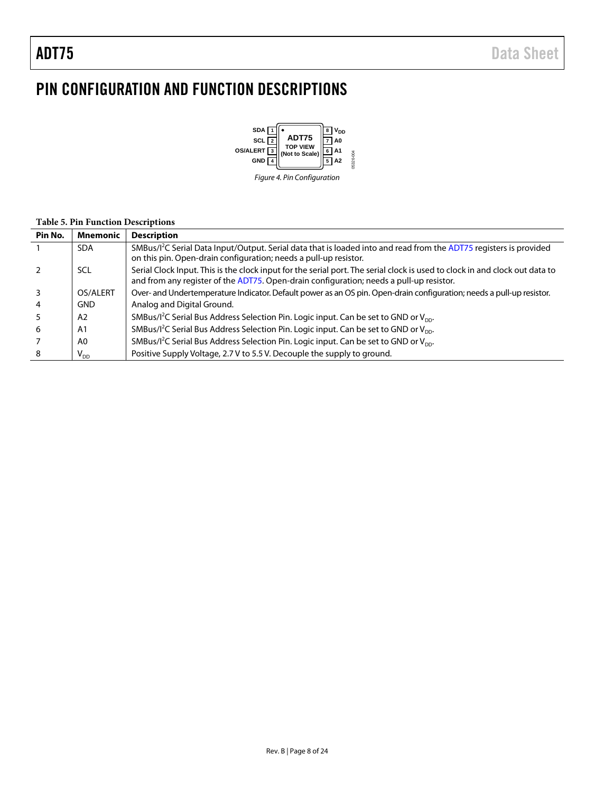## <span id="page-7-0"></span>PIN CONFIGURATION AND FUNCTION DESCRIPTIONS



*Figure 4. Pin Configuration*

#### **Table 5. Pin Function Descriptions**

| Pin No. | <b>Mnemonic</b> | <b>Description</b>                                                                                                                                                                                                     |
|---------|-----------------|------------------------------------------------------------------------------------------------------------------------------------------------------------------------------------------------------------------------|
|         | <b>SDA</b>      | SMBus/I <sup>2</sup> C Serial Data Input/Output. Serial data that is loaded into and read from the ADT75 registers is provided<br>on this pin. Open-drain configuration; needs a pull-up resistor.                     |
|         | SCL             | Serial Clock Input. This is the clock input for the serial port. The serial clock is used to clock in and clock out data to<br>and from any register of the ADT75. Open-drain configuration; needs a pull-up resistor. |
|         | OS/ALERT        | Over- and Undertemperature Indicator. Default power as an OS pin. Open-drain configuration; needs a pull-up resistor.                                                                                                  |
| 4       | <b>GND</b>      | Analog and Digital Ground.                                                                                                                                                                                             |
|         | A <sub>2</sub>  | SMBus/l <sup>2</sup> C Serial Bus Address Selection Pin. Logic input. Can be set to GND or V <sub>DD</sub> .                                                                                                           |
| -6      | A <sub>1</sub>  | SMBus/ $l^2C$ Serial Bus Address Selection Pin. Logic input. Can be set to GND or $V_{DD}$ .                                                                                                                           |
|         | A0              | SMBus/ $1^2$ C Serial Bus Address Selection Pin. Logic input. Can be set to GND or V <sub>nn</sub> .                                                                                                                   |
| 8       | $V_{DD}$        | Positive Supply Voltage, 2.7 V to 5.5 V. Decouple the supply to ground.                                                                                                                                                |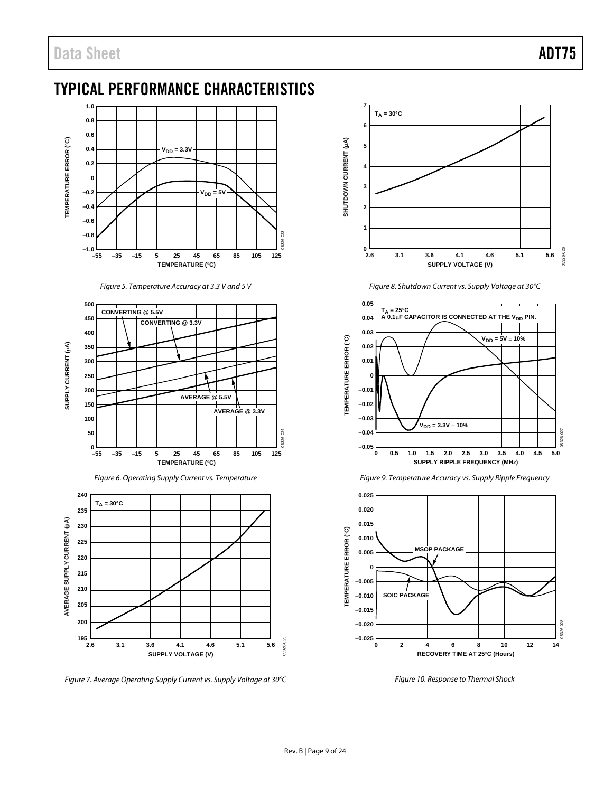## <span id="page-8-0"></span>TYPICAL PERFORMANCE CHARACTERISTICS



*Figure 5. Temperature Accuracy at 3.3 V and 5 V*



*Figure 6. Operating Supply Current vs. Temperature*



*Figure 7. Average Operating Supply Current vs. Supply Voltage at 30°C*



*Figure 8. Shutdown Current vs. Supply Voltage at 30°C*



*Figure 9. Temperature Accuracy vs. Supply Ripple Frequency*



*Figure 10. Response to Thermal Shock*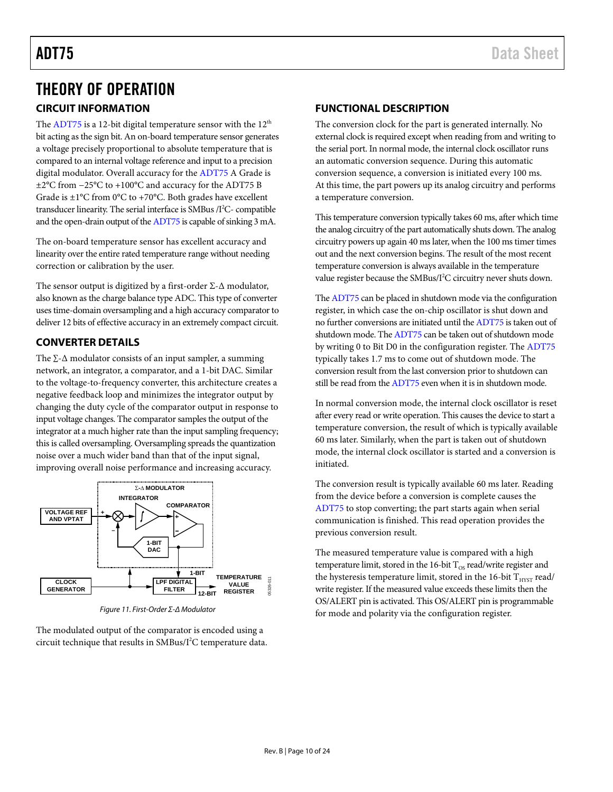## <span id="page-9-0"></span>THEORY OF OPERATION

#### <span id="page-9-1"></span>**CIRCUIT INFORMATION**

The [ADT75](http://www.analog.com/ADT75) is a 12-bit digital temperature sensor with the  $12<sup>th</sup>$ bit acting as the sign bit. An on-board temperature sensor generates a voltage precisely proportional to absolute temperature that is compared to an internal voltage reference and input to a precision digital modulator. Overall accuracy for th[e ADT75](http://www.analog.com/ADT75) A Grade is ±2°C from −25°C to +100°C and accuracy for the ADT75 B Grade is  $\pm 1^{\circ}$ C from 0°C to +70°C. Both grades have excellent transducer linearity. The serial interface is SMBus /I<sup>2</sup>C- compatible and the open-drain output of th[e ADT75](http://www.analog.com/ADT75) is capable of sinking 3 mA.

The on-board temperature sensor has excellent accuracy and linearity over the entire rated temperature range without needing correction or calibration by the user.

The sensor output is digitized by a first-order  $\Sigma$ - $\Delta$  modulator, also known as the charge balance type ADC. This type of converter uses time-domain oversampling and a high accuracy comparator to deliver 12 bits of effective accuracy in an extremely compact circuit.

#### <span id="page-9-2"></span>**CONVERTER DETAILS**

The  $\Sigma$ - $\Delta$  modulator consists of an input sampler, a summing network, an integrator, a comparator, and a 1-bit DAC. Similar to the voltage-to-frequency converter, this architecture creates a negative feedback loop and minimizes the integrator output by changing the duty cycle of the comparator output in response to input voltage changes. The comparator samples the output of the integrator at a much higher rate than the input sampling frequency; this is called oversampling. Oversampling spreads the quantization noise over a much wider band than that of the input signal, improving overall noise performance and increasing accuracy.



*Figure 11. First-Order Σ-Δ Modulator*

The modulated output of the comparator is encoded using a circuit technique that results in  $\text{SMBus}/\text{I}^2\text{C}$  temperature data.

#### <span id="page-9-3"></span>**FUNCTIONAL DESCRIPTION**

The conversion clock for the part is generated internally. No external clock is required except when reading from and writing to the serial port. In normal mode, the internal clock oscillator runs an automatic conversion sequence. During this automatic conversion sequence, a conversion is initiated every 100 ms. At this time, the part powers up its analog circuitry and performs a temperature conversion.

This temperature conversion typically takes 60 ms, after which time the analog circuitry of the part automatically shuts down. The analog circuitry powers up again 40 ms later, when the 100 ms timer times out and the next conversion begins. The result of the most recent temperature conversion is always available in the temperature value register because the SMBus/I<sup>2</sup>C circuitry never shuts down.

Th[e ADT75](http://www.analog.com/ADT75) can be placed in shutdown mode via the configuration register, in which case the on-chip oscillator is shut down and no further conversions are initiated until the [ADT75](http://www.analog.com/ADT75) is taken out of shutdown mode. Th[e ADT75](http://www.analog.com/ADT75) can be taken out of shutdown mode by writing 0 to Bit D0 in the configuration register. Th[e ADT75](http://www.analog.com/ADT75) typically takes 1.7 ms to come out of shutdown mode. The conversion result from the last conversion prior to shutdown can still be read from th[e ADT75](http://www.analog.com/ADT75) even when it is in shutdown mode.

In normal conversion mode, the internal clock oscillator is reset after every read or write operation. This causes the device to start a temperature conversion, the result of which is typically available 60 ms later. Similarly, when the part is taken out of shutdown mode, the internal clock oscillator is started and a conversion is initiated.

The conversion result is typically available 60 ms later. Reading from the device before a conversion is complete causes the [ADT75](http://www.analog.com/ADT75) to stop converting; the part starts again when serial communication is finished. This read operation provides the previous conversion result.

The measured temperature value is compared with a high temperature limit, stored in the 16-bit  $T_{OS}$  read/write register and the hysteresis temperature limit, stored in the 16-bit  $T_{HYST}$  read/ write register. If the measured value exceeds these limits then the OS/ALERT pin is activated. This OS/ALERT pin is programmable for mode and polarity via the configuration register.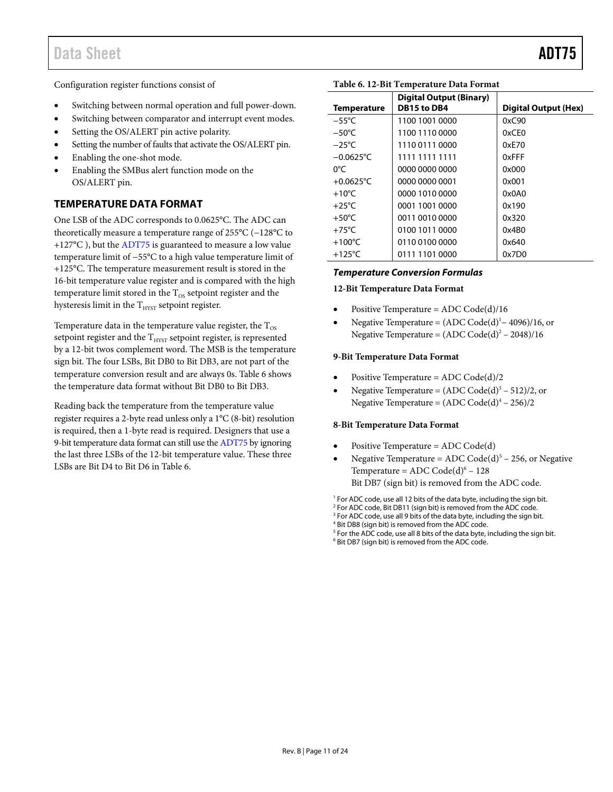Configuration register functions consist of

- Switching between normal operation and full power-down.
- Switching between comparator and interrupt event modes.
- Setting the OS/ALERT pin active polarity.
- Setting the number of faults that activate the OS/ALERT pin.
- Enabling the one-shot mode.
- Enabling the SMBus alert function mode on the OS/ALERT pin.

#### <span id="page-10-0"></span>**TEMPERATURE DATA FORMAT**

One LSB of the ADC corresponds to 0.0625°C. The ADC can theoretically measure a temperature range of 255°C (−128°C to +127°C ), but th[e ADT75](http://www.analog.com/ADT75) is guaranteed to measure a low value temperature limit of −55°C to a high value temperature limit of +125°C. The temperature measurement result is stored in the 16-bit temperature value register and is compared with the high temperature limit stored in the  $T_{OS}$  setpoint register and the hysteresis limit in the  $\rm T_{HYST}$  setpoint register.

Temperature data in the temperature value register, the  $T_{OS}$ setpoint register and the  $\rm T_{HYST}$  setpoint register, is represented by a 12-bit twos complement word. The MSB is the temperature sign bit. The four LSBs, Bit DB0 to Bit DB3, are not part of the temperature conversion result and are always 0s. [Table 6](#page-10-1) shows the temperature data format without Bit DB0 to Bit DB3.

Reading back the temperature from the temperature value register requires a 2-byte read unless only a 1°C (8-bit) resolution is required, then a 1-byte read is required. Designers that use a 9-bit temperature data format can still use the [ADT75](http://www.analog.com/ADT75) by ignoring the last three LSBs of the 12-bit temperature value. These three LSBs are Bit D4 to Bit D6 i[n Table 6.](#page-10-1)

### <span id="page-10-1"></span>**Table 6. 12-Bit Temperature Data Format**

|                     | <b>Digital Output (Binary)</b> |                             |
|---------------------|--------------------------------|-----------------------------|
| <b>Temperature</b>  | DB15 to DB4                    | <b>Digital Output (Hex)</b> |
| $-55^{\circ}$ C     | 1100 1001 0000                 | 0xC90                       |
| $-50^{\circ}$ C     | 1100 1110 0000                 | 0xCF0                       |
| $-25^{\circ}$ C     | 1110 0111 0000                 | 0xE70                       |
| $-0.0625^{\circ}$ C | 1111 1111 1111                 | 0xFFF                       |
| 0°C                 | 0000 0000 0000                 | 0x000                       |
| $+0.0625$ °C        | 0000 0000 0001                 | 0x001                       |
| $+10^{\circ}$ C     | 0000 1010 0000                 | 0x0A0                       |
| $+25^{\circ}$ C     | 0001 1001 0000                 | 0x190                       |
| $+50^{\circ}$ C     | 0011 0010 0000                 | 0x320                       |
| $+75^{\circ}$ C     | 0100 1011 0000                 | 0x4B0                       |
| $+100^{\circ}$ C    | 0110 0100 0000                 | 0x640                       |
| $+125^{\circ}$ C    | 0111 1101 0000                 | 0x7D0                       |

#### *Temperature Conversion Formulas*

#### **12-Bit Temperature Data Format**

- Positive Temperature = ADC Code(d)/16
- Negative Temperature =  $(ADC Code(d)<sup>1</sup> 4096)/16$ , or Negative Temperature =  $(ADC Code(d)^{2} – 2048)/16$

#### **9-Bit Temperature Data Format**

- Positive Temperature = ADC Code(d)/2
- Negative Temperature =  $(ADC Code(d)^3 512)/2$ , or Negative Temperature =  $(ADC Code(d)^4 - 256)/2$

#### **8-Bit Temperature Data Format**

- Positive Temperature = ADC Code(d)
- Negative Temperature =  $ADC Code(d)^5 256$ , or Negative Temperature =  $ADC Code(d)^6 - 128$ Bit DB7 (sign bit) is removed from the ADC code.

<sup>1</sup> For ADC code, use all 12 bits of the data byte, including the sign bit.

<sup>3</sup> For ADC code, use all 9 bits of the data byte, including the sign bit.

<sup>5</sup> For the ADC code, use all 8 bits of the data byte, including the sign bit.

<sup>6</sup> Bit DB7 (sign bit) is removed from the ADC code.

<sup>&</sup>lt;sup>2</sup> For ADC code, Bit DB11 (sign bit) is removed from the ADC code.

<sup>4</sup> Bit DB8 (sign bit) is removed from the ADC code.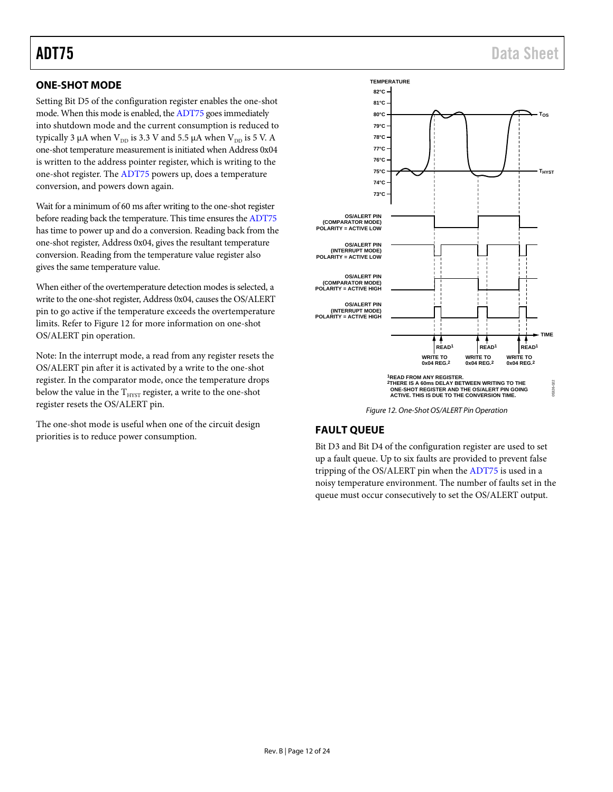#### <span id="page-11-0"></span>**ONE-SHOT MODE**

Setting Bit D5 of the configuration register enables the one-shot mode. When this mode is enabled, th[e ADT75](http://www.analog.com/ADT75) goes immediately into shutdown mode and the current consumption is reduced to typically 3  $\mu$ A when V<sub>DD</sub> is 3.3 V and 5.5  $\mu$ A when V<sub>DD</sub> is 5 V. A one-shot temperature measurement is initiated when Address 0x04 is written to the address pointer register, which is writing to the one-shot register. Th[e ADT75](http://www.analog.com/ADT75) powers up, does a temperature conversion, and powers down again.

Wait for a minimum of 60 ms after writing to the one-shot register before reading back the temperature. This time ensures the [ADT75](http://www.analog.com/ADT75) has time to power up and do a conversion. Reading back from the one-shot register, Address 0x04, gives the resultant temperature conversion. Reading from the temperature value register also gives the same temperature value.

When either of the overtemperature detection modes is selected, a write to the one-shot register, Address 0x04, causes the OS/ALERT pin to go active if the temperature exceeds the overtemperature limits. Refer to [Figure 12](#page-11-2) for more information on one-shot OS/ALERT pin operation.

Note: In the interrupt mode, a read from any register resets the OS/ALERT pin after it is activated by a write to the one-shot register. In the comparator mode, once the temperature drops below the value in the  $T_{HYST}$  register, a write to the one-shot register resets the OS/ALERT pin.

The one-shot mode is useful when one of the circuit design priorities is to reduce power consumption.



*Figure 12. One-Shot OS/ALERT Pin Operation*

#### <span id="page-11-2"></span><span id="page-11-1"></span>**FAULT QUEUE**

Bit D3 and Bit D4 of the configuration register are used to set up a fault queue. Up to six faults are provided to prevent false tripping of the OS/ALERT pin when the [ADT75](http://www.analog.com/ADT75) is used in a noisy temperature environment. The number of faults set in the queue must occur consecutively to set the OS/ALERT output.

## ADT75 Data Sheet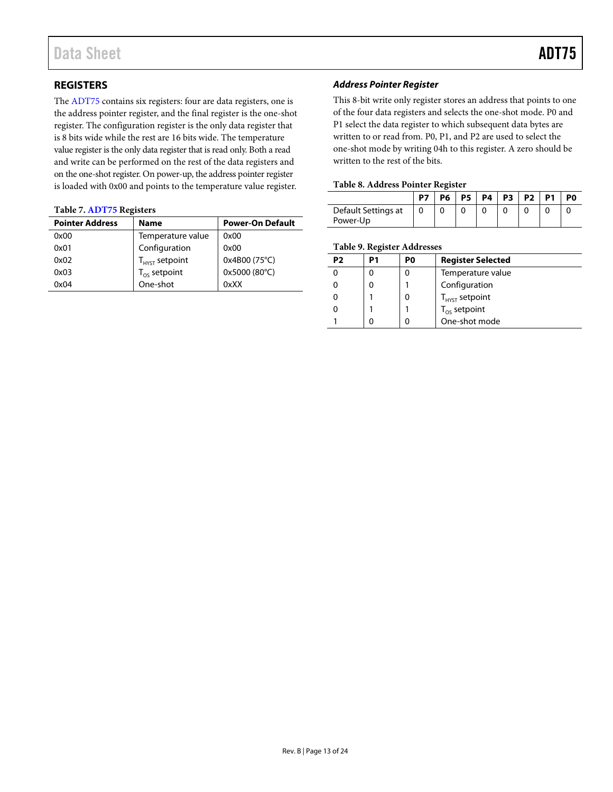#### <span id="page-12-0"></span>**REGISTERS**

The [ADT75](http://www.analog.com/ADT75) contains six registers: four are data registers, one is the address pointer register, and the final register is the one-shot register. The configuration register is the only data register that is 8 bits wide while the rest are 16 bits wide. The temperature value register is the only data register that is read only. Both a read and write can be performed on the rest of the data registers and on the one-shot register. On power-up, the address pointer register is loaded with 0x00 and points to the temperature value register.

#### **Table 7[. ADT75](http://www.analog.com/ADT75) Registers**

| <b>Pointer Address</b> | <b>Name</b>         | <b>Power-On Default</b> |
|------------------------|---------------------|-------------------------|
| 0x00                   | Temperature value   | 0x00                    |
| 0x01                   | Configuration       | 0x00                    |
| 0x02                   | $T_{HYST}$ setpoint | 0x4B00 (75°C)           |
| 0x03                   | $T_{OS}$ setpoint   | 0x5000 (80°C)           |
| 0x04                   | One-shot            | 0xXX                    |

#### *Address Pointer Register*

This 8-bit write only register stores an address that points to one of the four data registers and selects the one-shot mode. P0 and P1 select the data register to which subsequent data bytes are written to or read from. P0, P1, and P2 are used to select the one-shot mode by writing 04h to this register. A zero should be written to the rest of the bits.

#### **Table 8. Address Pointer Register**

|                                 | P7 | <b>P6</b> | P5   P4   P3 |  | P <sub>2</sub> | P1 | P <sub>0</sub> |
|---------------------------------|----|-----------|--------------|--|----------------|----|----------------|
| Default Settings at<br>Power-Up |    |           |              |  |                |    |                |

#### **Table 9. Register Addresses**

| P2 | P1 | P0 | <b>Register Selected</b>           |
|----|----|----|------------------------------------|
|    |    |    | Temperature value                  |
|    |    |    | Configuration                      |
|    |    |    | $T_{HYST}$ setpoint                |
|    |    |    | $T_{OS}$ setpoint<br>One-shot mode |
|    |    |    |                                    |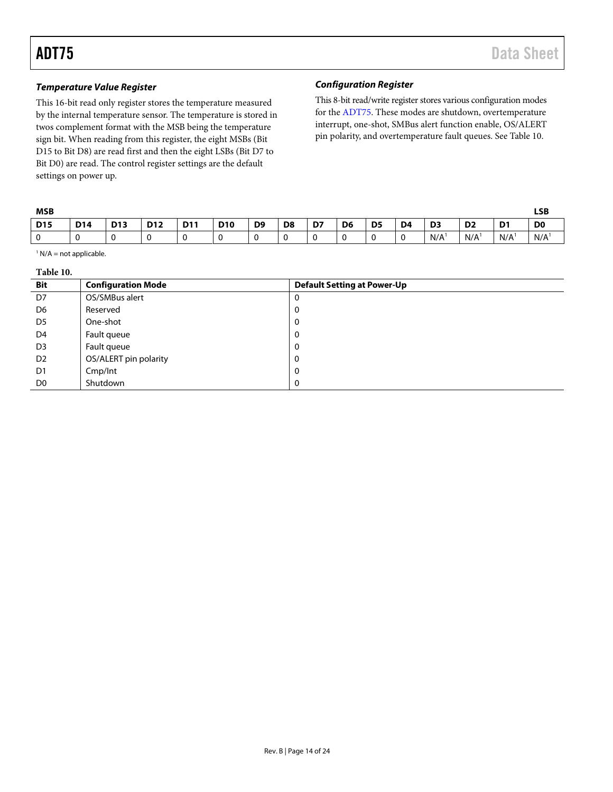#### *Temperature Value Register*

This 16-bit read only register stores the temperature measured by the internal temperature sensor. The temperature is stored in twos complement format with the MSB being the temperature sign bit. When reading from this register, the eight MSBs (Bit D15 to Bit D8) are read first and then the eight LSBs (Bit D7 to Bit D0) are read. The control register settings are the default settings on power up.

#### *Configuration Register*

This 8-bit read/write register stores various configuration modes for th[e ADT75.](http://www.analog.com/ADT75) These modes are shutdown, overtemperature interrupt, one-shot, SMBus alert function enable, OS/ALERT pin polarity, and overtemperature fault queues. Se[e Table 10.](#page-13-0)

| <b>MSB</b>      |            |            |            |            |            |                |                |    |                |                |                |                |                  |                | <b>LSB</b>     |
|-----------------|------------|------------|------------|------------|------------|----------------|----------------|----|----------------|----------------|----------------|----------------|------------------|----------------|----------------|
| D <sub>15</sub> | <b>D14</b> | <b>D13</b> | <b>D12</b> | <b>D11</b> | <b>D10</b> | D <sub>9</sub> | D <sub>8</sub> | D7 | D <sub>6</sub> | D <sub>5</sub> | D <sub>4</sub> | D <sub>3</sub> | D <sub>2</sub>   | D <sub>1</sub> | D <sub>0</sub> |
| 0               | ν          |            |            |            | u          |                |                |    |                | $\sim$         | $\mathbf 0$    | N/A            | N/A <sup>1</sup> | N/A            | N/A            |

<span id="page-13-0"></span> $1 N/A$  = not applicable.

| `able | $\mathbf{0}$ |
|-------|--------------|
|-------|--------------|

| <b>Bit</b>     | <b>Configuration Mode</b> | <b>Default Setting at Power-Up</b> |
|----------------|---------------------------|------------------------------------|
| D7             | OS/SMBus alert            | 0                                  |
| D6             | Reserved                  | 0                                  |
| D <sub>5</sub> | One-shot                  | 0                                  |
| D4             | Fault queue               | 0                                  |
| D <sub>3</sub> | Fault queue               | 0                                  |
| D <sub>2</sub> | OS/ALERT pin polarity     | 0                                  |
| D1             | Cmp/Int                   | 0                                  |
| D <sub>0</sub> | Shutdown                  | 0                                  |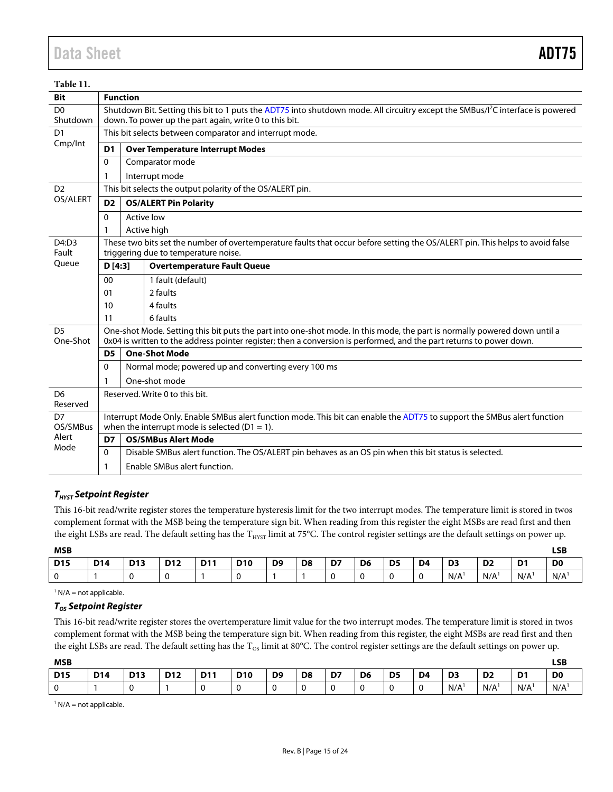| Table 11.                  |                                                                                                                                                                       |                                                                                                                                                                                                       |                                                                                                                                                                                                                                                   |  |  |  |  |  |  |  |  |
|----------------------------|-----------------------------------------------------------------------------------------------------------------------------------------------------------------------|-------------------------------------------------------------------------------------------------------------------------------------------------------------------------------------------------------|---------------------------------------------------------------------------------------------------------------------------------------------------------------------------------------------------------------------------------------------------|--|--|--|--|--|--|--|--|
| <b>Bit</b>                 |                                                                                                                                                                       | <b>Function</b>                                                                                                                                                                                       |                                                                                                                                                                                                                                                   |  |  |  |  |  |  |  |  |
| D <sub>0</sub><br>Shutdown |                                                                                                                                                                       | Shutdown Bit. Setting this bit to 1 puts the ADT75 into shutdown mode. All circuitry except the SMBus/l <sup>2</sup> C interface is powered<br>down. To power up the part again, write 0 to this bit. |                                                                                                                                                                                                                                                   |  |  |  |  |  |  |  |  |
| D <sub>1</sub>             |                                                                                                                                                                       | This bit selects between comparator and interrupt mode.                                                                                                                                               |                                                                                                                                                                                                                                                   |  |  |  |  |  |  |  |  |
| Cmp/Int                    | D <sub>1</sub>                                                                                                                                                        |                                                                                                                                                                                                       | <b>Over Temperature Interrupt Modes</b>                                                                                                                                                                                                           |  |  |  |  |  |  |  |  |
|                            | $\mathbf 0$                                                                                                                                                           |                                                                                                                                                                                                       | Comparator mode                                                                                                                                                                                                                                   |  |  |  |  |  |  |  |  |
|                            | 1                                                                                                                                                                     |                                                                                                                                                                                                       | Interrupt mode                                                                                                                                                                                                                                    |  |  |  |  |  |  |  |  |
| D <sub>2</sub>             |                                                                                                                                                                       |                                                                                                                                                                                                       | This bit selects the output polarity of the OS/ALERT pin.                                                                                                                                                                                         |  |  |  |  |  |  |  |  |
| OS/ALERT                   | D <sub>2</sub>                                                                                                                                                        |                                                                                                                                                                                                       | <b>OS/ALERT Pin Polarity</b>                                                                                                                                                                                                                      |  |  |  |  |  |  |  |  |
|                            | $\mathbf{0}$                                                                                                                                                          |                                                                                                                                                                                                       | Active low                                                                                                                                                                                                                                        |  |  |  |  |  |  |  |  |
|                            | 1                                                                                                                                                                     |                                                                                                                                                                                                       | Active high                                                                                                                                                                                                                                       |  |  |  |  |  |  |  |  |
| D4:D3<br>Fault             | These two bits set the number of overtemperature faults that occur before setting the OS/ALERT pin. This helps to avoid false<br>triggering due to temperature noise. |                                                                                                                                                                                                       |                                                                                                                                                                                                                                                   |  |  |  |  |  |  |  |  |
| Oueue                      | D[4:3]                                                                                                                                                                |                                                                                                                                                                                                       | <b>Overtemperature Fault Queue</b>                                                                                                                                                                                                                |  |  |  |  |  |  |  |  |
|                            | 00                                                                                                                                                                    |                                                                                                                                                                                                       | 1 fault (default)                                                                                                                                                                                                                                 |  |  |  |  |  |  |  |  |
|                            | 01                                                                                                                                                                    |                                                                                                                                                                                                       | 2 faults                                                                                                                                                                                                                                          |  |  |  |  |  |  |  |  |
|                            | 10                                                                                                                                                                    |                                                                                                                                                                                                       | 4 faults                                                                                                                                                                                                                                          |  |  |  |  |  |  |  |  |
|                            | 11                                                                                                                                                                    |                                                                                                                                                                                                       | 6 faults                                                                                                                                                                                                                                          |  |  |  |  |  |  |  |  |
| D <sub>5</sub><br>One-Shot |                                                                                                                                                                       |                                                                                                                                                                                                       | One-shot Mode. Setting this bit puts the part into one-shot mode. In this mode, the part is normally powered down until a<br>0x04 is written to the address pointer register; then a conversion is performed, and the part returns to power down. |  |  |  |  |  |  |  |  |
|                            | D <sub>5</sub>                                                                                                                                                        |                                                                                                                                                                                                       | <b>One-Shot Mode</b>                                                                                                                                                                                                                              |  |  |  |  |  |  |  |  |
|                            | $\mathbf{0}$                                                                                                                                                          |                                                                                                                                                                                                       | Normal mode; powered up and converting every 100 ms                                                                                                                                                                                               |  |  |  |  |  |  |  |  |
|                            | 1                                                                                                                                                                     |                                                                                                                                                                                                       | One-shot mode                                                                                                                                                                                                                                     |  |  |  |  |  |  |  |  |
| D <sub>6</sub><br>Reserved |                                                                                                                                                                       |                                                                                                                                                                                                       | Reserved. Write 0 to this bit.                                                                                                                                                                                                                    |  |  |  |  |  |  |  |  |
| D7<br>OS/SMBus             |                                                                                                                                                                       |                                                                                                                                                                                                       | Interrupt Mode Only. Enable SMBus alert function mode. This bit can enable the ADT75 to support the SMBus alert function<br>when the interrupt mode is selected ( $D1 = 1$ ).                                                                     |  |  |  |  |  |  |  |  |
| Alert                      | D7                                                                                                                                                                    |                                                                                                                                                                                                       | <b>OS/SMBus Alert Mode</b>                                                                                                                                                                                                                        |  |  |  |  |  |  |  |  |
| Mode                       | $\mathbf{0}$                                                                                                                                                          |                                                                                                                                                                                                       | Disable SMBus alert function. The OS/ALERT pin behaves as an OS pin when this bit status is selected.                                                                                                                                             |  |  |  |  |  |  |  |  |
|                            | 1                                                                                                                                                                     |                                                                                                                                                                                                       | Enable SMBus alert function.                                                                                                                                                                                                                      |  |  |  |  |  |  |  |  |

#### *THYST Setpoint Register*

This 16-bit read/write register stores the temperature hysteresis limit for the two interrupt modes. The temperature limit is stored in twos complement format with the MSB being the temperature sign bit. When reading from this register the eight MSBs are read first and then the eight LSBs are read. The default setting has the  $T_{HYST}$  limit at 75°C. The control register settings are the default settings on power up.

| <b>MSB</b>      |            |                 |            |     |            |                |                |    |                |                |                |                |                |                | <b>LSB</b>     |
|-----------------|------------|-----------------|------------|-----|------------|----------------|----------------|----|----------------|----------------|----------------|----------------|----------------|----------------|----------------|
| D <sub>15</sub> | <b>D14</b> | D <sub>13</sub> | <b>D12</b> | D11 | <b>D10</b> | D <sub>9</sub> | D <sub>8</sub> | D7 | D <sub>6</sub> | D <sub>5</sub> | D <sub>4</sub> | D <sub>3</sub> | D <sub>2</sub> | D <sub>1</sub> | D <sub>0</sub> |
| ν               |            |                 | ີ          |     |            |                |                |    |                |                |                | N/A            | N/A            | N/A            | N/A            |

 $1 N/A$  = not applicable.

#### *TOS Setpoint Register*

This 16-bit read/write register stores the overtemperature limit value for the two interrupt modes. The temperature limit is stored in twos complement format with the MSB being the temperature sign bit. When reading from this register, the eight MSBs are read first and then the eight LSBs are read. The default setting has the  $T_{OS}$  limit at 80°C. The control register settings are the default settings on power up.

| <b>MSB</b>      |            |            |            |            |            |                |                |    |                |                |                |                |                |                | <b>LSB</b>     |
|-----------------|------------|------------|------------|------------|------------|----------------|----------------|----|----------------|----------------|----------------|----------------|----------------|----------------|----------------|
| D <sub>15</sub> | <b>D14</b> | <b>D13</b> | <b>D12</b> | <b>D11</b> | <b>D10</b> | D <sub>9</sub> | D <sub>8</sub> | D7 | D <sub>6</sub> | D <sub>5</sub> | D <sub>4</sub> | D <sub>3</sub> | D <sub>2</sub> | D <sub>1</sub> | D <sub>0</sub> |
| 0               |            |            |            |            | u          |                |                |    |                | 0              | 0              | N/A            | N/A            | N/A            | N/A            |

 $<sup>1</sup> N/A$  = not applicable.</sup>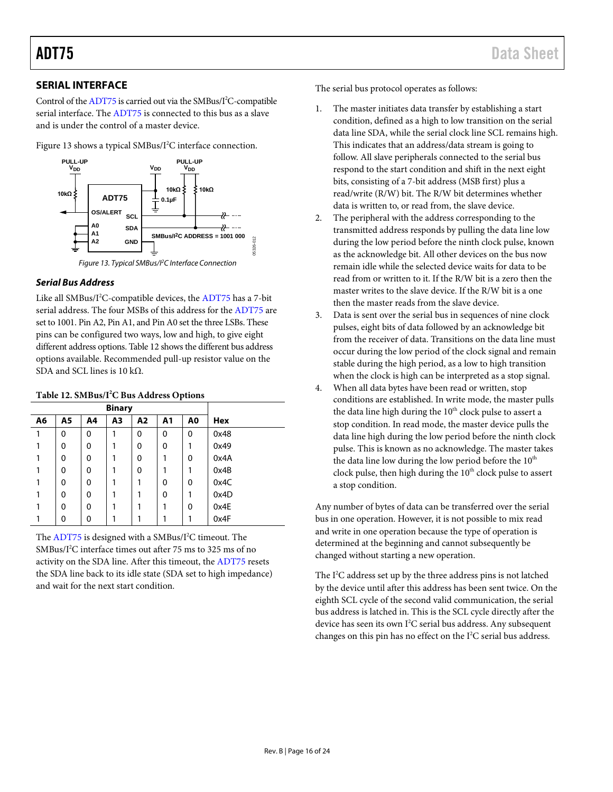#### <span id="page-15-0"></span>**SERIAL INTERFACE**

Control of the [ADT75](http://www.analog.com/ADT75) is carried out via the SMBus/I<sup>2</sup>C-compatible serial interface. The [ADT75](http://www.analog.com/ADT75) is connected to this bus as a slave and is under the control of a master device.

[Figure 13](#page-15-1) shows a typical SMBus/I<sup>2</sup>C interface connection.



#### <span id="page-15-1"></span>*Serial Bus Address*

Like all SMBus/ $I^2C$ -compatible devices, th[e ADT75](http://www.analog.com/ADT75) has a 7-bit serial address. The four MSBs of this address for th[e ADT75](http://www.analog.com/ADT75) are set to 1001. Pin A2, Pin A1, and Pin A0 set the three LSBs. These pins can be configured two ways, low and high, to give eight different address options. [Table 12](#page-15-2) shows the different bus address options available. Recommended pull-up resistor value on the SDA and SCL lines is 10 kΩ.

<span id="page-15-2"></span>

|    |                | <b>Binary</b> |                |             |                |                |            |
|----|----------------|---------------|----------------|-------------|----------------|----------------|------------|
| A6 | A <sub>5</sub> | A4            | A <sub>3</sub> | A2          | A <sub>1</sub> | A <sub>0</sub> | <b>Hex</b> |
| 1  | 0              | 0             |                | 0           | 0              | 0              | 0x48       |
|    | 0              | $\mathbf 0$   |                | 0           | 0              |                | 0x49       |
|    | 0              | $\mathbf 0$   |                | $\mathbf 0$ | 1              | $\mathbf 0$    | 0x4A       |
|    | 0              | 0             |                | 0           | 1              |                | 0x4B       |
|    | 0              | $\mathbf 0$   |                |             | 0              | 0              | 0x4C       |
|    | 0              | $\mathbf 0$   |                |             | 0              |                | 0x4D       |
|    | 0              | $\mathbf 0$   |                |             | 1              | 0              | 0x4E       |
|    | 0              | $\mathbf 0$   |                |             | 1              |                | 0x4F       |

The [ADT75](http://www.analog.com/ADT75) is designed with a SMBus/I<sup>2</sup>C timeout. The  $SMBus/I<sup>2</sup>C$  interface times out after 75 ms to 325 ms of no activity on the SDA line. After this timeout, the [ADT75](http://www.analog.com/ADT75) resets the SDA line back to its idle state (SDA set to high impedance) and wait for the next start condition.

The serial bus protocol operates as follows:

- 1. The master initiates data transfer by establishing a start condition, defined as a high to low transition on the serial data line SDA, while the serial clock line SCL remains high. This indicates that an address/data stream is going to follow. All slave peripherals connected to the serial bus respond to the start condition and shift in the next eight bits, consisting of a 7-bit address (MSB first) plus a read/write (R/W) bit. The R/W bit determines whether data is written to, or read from, the slave device.
- 2. The peripheral with the address corresponding to the transmitted address responds by pulling the data line low during the low period before the ninth clock pulse, known as the acknowledge bit. All other devices on the bus now remain idle while the selected device waits for data to be read from or written to it. If the R/W bit is a zero then the master writes to the slave device. If the R/W bit is a one then the master reads from the slave device.
- 3. Data is sent over the serial bus in sequences of nine clock pulses, eight bits of data followed by an acknowledge bit from the receiver of data. Transitions on the data line must occur during the low period of the clock signal and remain stable during the high period, as a low to high transition when the clock is high can be interpreted as a stop signal.
- 4. When all data bytes have been read or written, stop conditions are established. In write mode, the master pulls the data line high during the  $10<sup>th</sup>$  clock pulse to assert a stop condition. In read mode, the master device pulls the data line high during the low period before the ninth clock pulse. This is known as no acknowledge. The master takes the data line low during the low period before the  $10<sup>th</sup>$ clock pulse, then high during the 10<sup>th</sup> clock pulse to assert a stop condition.

Any number of bytes of data can be transferred over the serial bus in one operation. However, it is not possible to mix read and write in one operation because the type of operation is determined at the beginning and cannot subsequently be changed without starting a new operation.

The  $I^2C$  address set up by the three address pins is not latched by the device until after this address has been sent twice. On the eighth SCL cycle of the second valid communication, the serial bus address is latched in. This is the SCL cycle directly after the device has seen its own  $I^2C$  serial bus address. Any subsequent changes on this pin has no effect on the  $I<sup>2</sup>C$  serial bus address.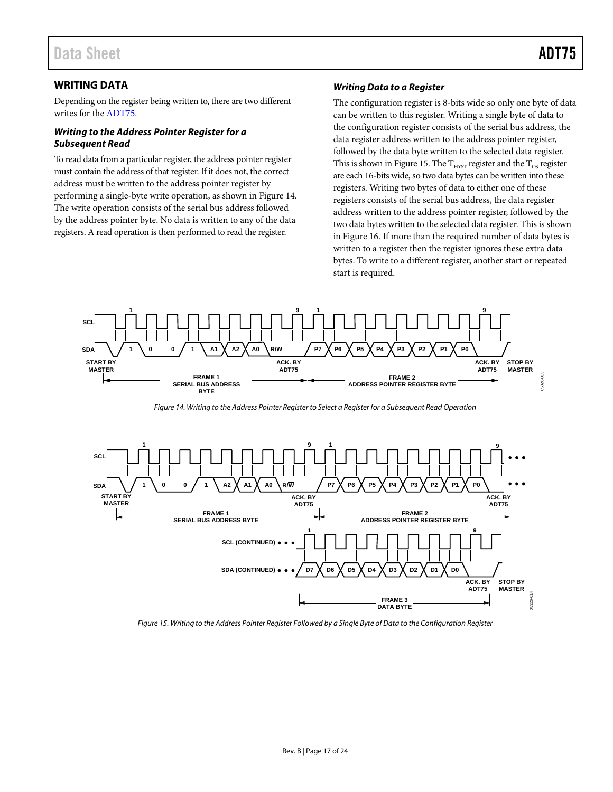#### <span id="page-16-0"></span>**WRITING DATA**

Depending on the register being written to, there are two different writes for th[e ADT75.](http://www.analog.com/ADT75)

#### *Writing to the Address Pointer Register for a Subsequent Read*

To read data from a particular register, the address pointer register must contain the address of that register. If it does not, the correct address must be written to the address pointer register by performing a single-byte write operation, as shown in [Figure 14.](#page-16-1)  The write operation consists of the serial bus address followed by the address pointer byte. No data is written to any of the data registers. A read operation is then performed to read the register.

#### *Writing Data to a Register*

The configuration register is 8-bits wide so only one byte of data can be written to this register. Writing a single byte of data to the configuration register consists of the serial bus address, the data register address written to the address pointer register, followed by the data byte written to the selected data register. This is shown in [Figure 15.](#page-16-2) The  $\rm T_{HYST}$  register and the  $\rm T_{OS}$  register are each 16-bits wide, so two data bytes can be written into these registers. Writing two bytes of data to either one of these registers consists of the serial bus address, the data register address written to the address pointer register, followed by the two data bytes written to the selected data register. This is shown i[n Figure 16.](#page-17-1) If more than the required number of data bytes is written to a register then the register ignores these extra data bytes. To write to a different register, another start or repeated start is required.



*Figure 14. Writing to the Address Pointer Register to Select a Register for a Subsequent Read Operation*

<span id="page-16-1"></span>

<span id="page-16-2"></span>*Figure 15. Writing to the Address Pointer Register Followed by a Single Byte of Data to the Configuration Register*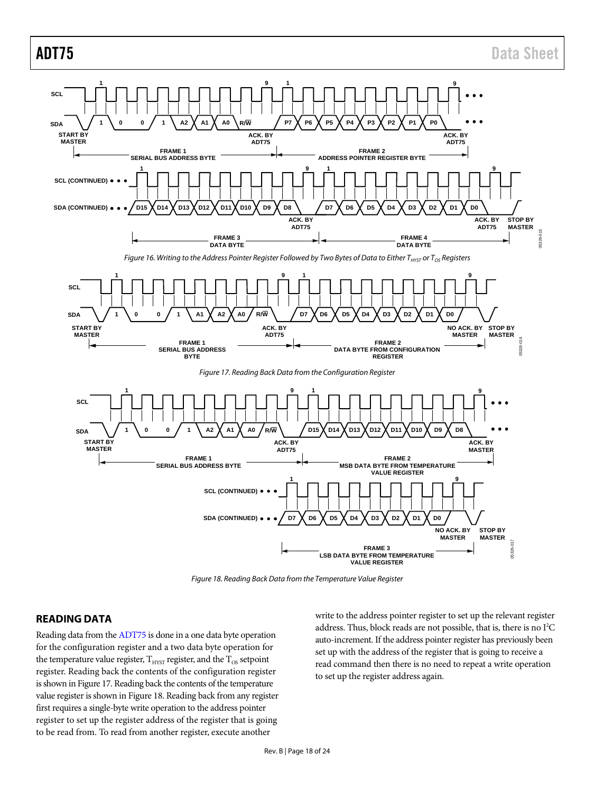<span id="page-17-1"></span>

*Figure 18. Reading Back Data from the Temperature Value Register*

#### <span id="page-17-3"></span><span id="page-17-2"></span><span id="page-17-0"></span>**READING DATA**

Reading data from th[e ADT75](http://www.analog.com/ADT75) is done in a one data byte operation for the configuration register and a two data byte operation for the temperature value register,  $\rm T_{HYST}$  register, and the  $\rm T_{OS}$  setpoint register. Reading back the contents of the configuration register is shown i[n Figure 17.](#page-17-2) Reading back the contents of the temperature value register is shown i[n Figure 18.](#page-17-3) Reading back from any register first requires a single-byte write operation to the address pointer register to set up the register address of the register that is going to be read from. To read from another register, execute another

write to the address pointer register to set up the relevant register address. Thus, block reads are not possible, that is, there is no  $\rm I^2C$ auto-increment. If the address pointer register has previously been set up with the address of the register that is going to receive a read command then there is no need to repeat a write operation to set up the register address again.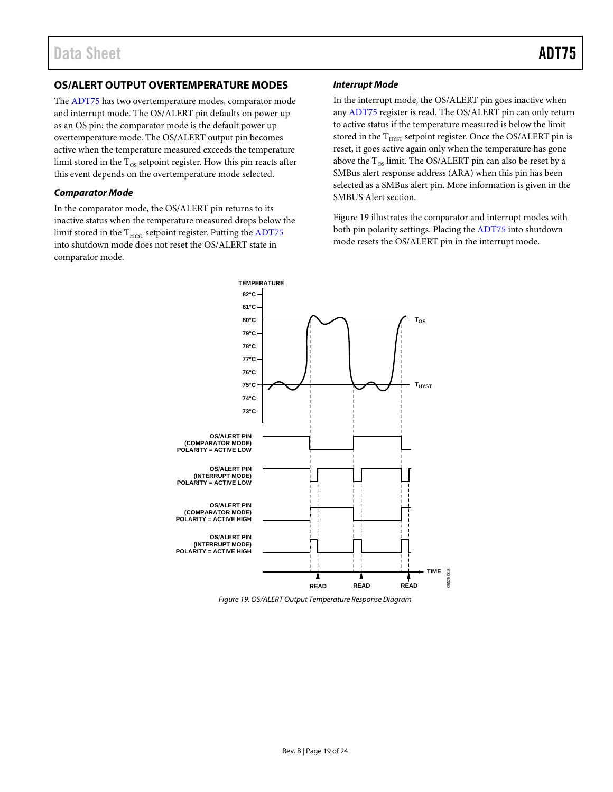#### <span id="page-18-0"></span>**OS/ALERT OUTPUT OVERTEMPERATURE MODES**

The [ADT75](http://www.analog.com/ADT75) has two overtemperature modes, comparator mode and interrupt mode. The OS/ALERT pin defaults on power up as an OS pin; the comparator mode is the default power up overtemperature mode. The OS/ALERT output pin becomes active when the temperature measured exceeds the temperature limit stored in the  $T_{OS}$  setpoint register. How this pin reacts after this event depends on the overtemperature mode selected.

#### *Comparator Mode*

In the comparator mode, the OS/ALERT pin returns to its inactive status when the temperature measured drops below the limit stored in the  $T<sub>HYST</sub>$  setpoint register. Putting th[e ADT75](http://www.analog.com/ADT75) into shutdown mode does not reset the OS/ALERT state in comparator mode.

#### *Interrupt Mode*

In the interrupt mode, the OS/ALERT pin goes inactive when an[y ADT75](http://www.analog.com/ADT75) register is read. The OS/ALERT pin can only return to active status if the temperature measured is below the limit stored in the  $T_{HYST}$  setpoint register. Once the OS/ALERT pin is reset, it goes active again only when the temperature has gone above the  $T_{OS}$  limit. The OS/ALERT pin can also be reset by a SMBus alert response address (ARA) when this pin has been selected as a SMBus alert pin. More information is given in the [SMBUS](#page-19-0) Alert section.

[Figure 19](#page-18-1) illustrates the comparator and interrupt modes with both pin polarity settings. Placing the [ADT75](http://www.analog.com/ADT75) into shutdown mode resets the OS/ALERT pin in the interrupt mode.



<span id="page-18-1"></span>*Figure 19. OS/ALERT Output Temperature Response Diagram*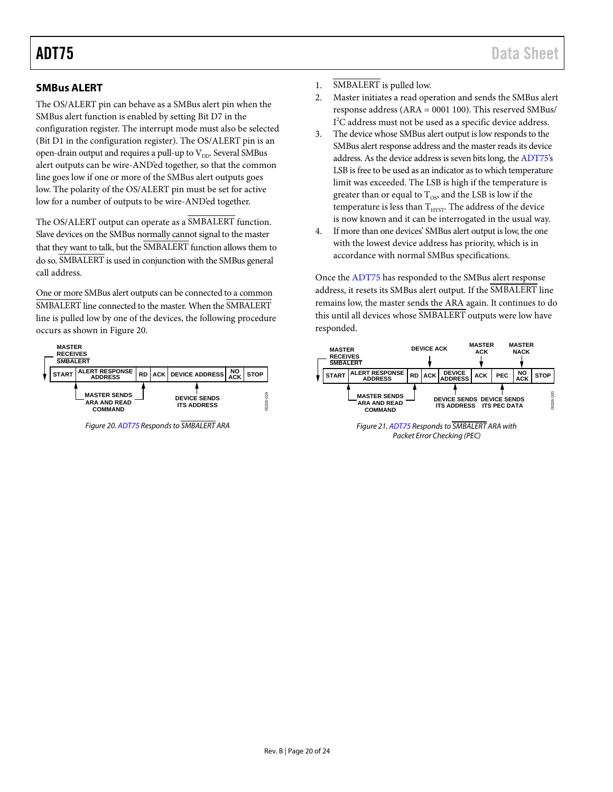#### <span id="page-19-0"></span>**SMBus ALERT**

The OS/ALERT pin can behave as a SMBus alert pin when the SMBus alert function is enabled by setting Bit D7 in the configuration register. The interrupt mode must also be selected (Bit D1 in the configuration register). The OS/ALERT pin is an open-drain output and requires a pull-up to  $V_{DD}$ . Several SMBus alert outputs can be wire-AND'ed together, so that the common line goes low if one or more of the SMBus alert outputs goes low. The polarity of the OS/ALERT pin must be set for active low for a number of outputs to be wire-AND'ed together.

The OS/ALERT output can operate as a SMBALERT function. Slave devices on the SMBus normally cannot signal to the master that they want to talk, but the SMBALERT function allows them to do so. SMBALERT is used in conjunction with the SMBus general call address.

One or more SMBus alert outputs can be connected to a common SMBALERT line connected to the master. When the SMBALERT line is pulled low by one of the devices, the following procedure occurs as shown in [Figure 20.](#page-19-1)



<span id="page-19-1"></span>*Figure 20[. ADT75](http://www.analog.com/ADT75) Responds to SMBALERT ARA*

- 1. SMBALERT is pulled low.
- 2. Master initiates a read operation and sends the SMBus alert response address (ARA = 0001 100). This reserved SMBus/ I<sup>2</sup>C address must not be used as a specific device address.
- 3. The device whose SMBus alert output is low responds to the SMBus alert response address and the master reads its device address. As the device address is seven bits long, th[e ADT75's](http://www.analog.com/ADT75) LSB is free to be used as an indicator as to which temperature limit was exceeded. The LSB is high if the temperature is greater than or equal to  $T_{OS}$ , and the LSB is low if the temperature is less than  $\rm T_{HYST}.$  The address of the device is now known and it can be interrogated in the usual way.
- 4. If more than one devices' SMBus alert output is low, the one with the lowest device address has priority, which is in accordance with normal SMBus specifications.

Once th[e ADT75](http://www.analog.com/ADT75) has responded to the SMBus alert response address, it resets its SMBus alert output. If the SMBALERT line remains low, the master sends the ARA again. It continues to do this until all devices whose SMBALERT outputs were low have responded.



*Figure 21[. ADT75](http://www.analog.com/ADT75) Responds to SMBALERT ARA with Packet Error Checking (PEC)*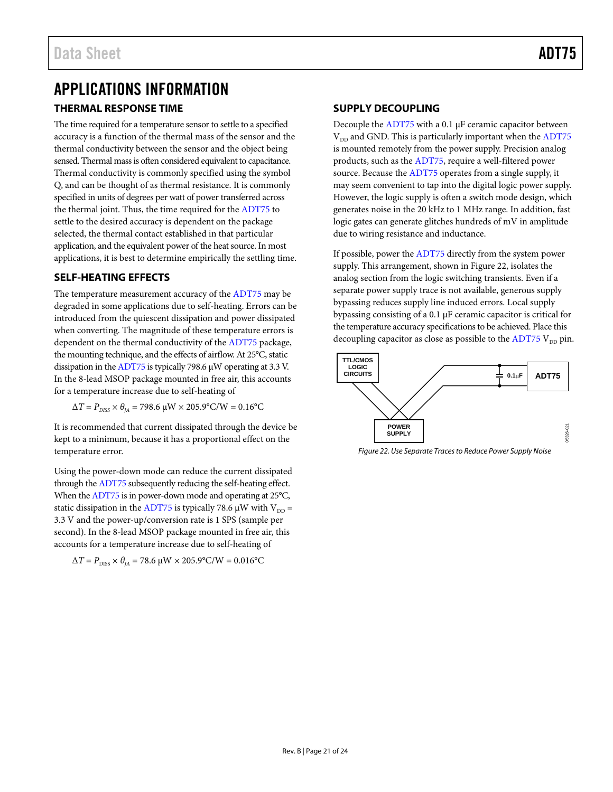# <span id="page-20-0"></span>APPLICATIONS INFORMATION

#### <span id="page-20-1"></span>**THERMAL RESPONSE TIME**

The time required for a temperature sensor to settle to a specified accuracy is a function of the thermal mass of the sensor and the thermal conductivity between the sensor and the object being sensed. Thermal mass is often considered equivalent to capacitance. Thermal conductivity is commonly specified using the symbol Q, and can be thought of as thermal resistance. It is commonly specified in units of degrees per watt of power transferred across the thermal joint. Thus, the time required for the [ADT75](http://www.analog.com/ADT75) to settle to the desired accuracy is dependent on the package selected, the thermal contact established in that particular application, and the equivalent power of the heat source. In most applications, it is best to determine empirically the settling time.

#### <span id="page-20-2"></span>**SELF-HEATING EFFECTS**

The temperature measurement accuracy of the [ADT75](http://www.analog.com/ADT75) may be degraded in some applications due to self-heating. Errors can be introduced from the quiescent dissipation and power dissipated when converting. The magnitude of these temperature errors is dependent on the thermal conductivity of th[e ADT75](http://www.analog.com/ADT75) package, the mounting technique, and the effects of airflow. At 25°C, static dissipation in th[e ADT75](http://www.analog.com/ADT75) is typically 798.6 µW operating at 3.3 V. In the 8-lead MSOP package mounted in free air, this accounts for a temperature increase due to self-heating of

 $ΔT = P_{DISS} × θ<sub>IA</sub> = 798.6 \mu W × 205.9°C/W = 0.16°C$ 

It is recommended that current dissipated through the device be kept to a minimum, because it has a proportional effect on the temperature error.

Using the power-down mode can reduce the current dissipated through th[e ADT75](http://www.analog.com/ADT75) subsequently reducing the self-heating effect. When th[e ADT75](http://www.analog.com/ADT75) is in power-down mode and operating at 25°C, static dissipation in th[e ADT75](http://www.analog.com/ADT75) is typically 78.6  $\mu$ W with V<sub>DD</sub> = 3.3 V and the power-up/conversion rate is 1 SPS (sample per second). In the 8-lead MSOP package mounted in free air, this accounts for a temperature increase due to self-heating of

$$
\Delta T = P_{\text{DISS}} \times \theta_{JA} = 78.6 \, \mu \text{W} \times 205.9^{\circ} \text{C/W} = 0.016^{\circ} \text{C}
$$

#### <span id="page-20-3"></span>**SUPPLY DECOUPLING**

Decouple th[e ADT75](http://www.analog.com/ADT75) with a 0.1 µF ceramic capacitor between  $V<sub>DD</sub>$  and GND. This is particularly important when th[e ADT75](http://www.analog.com/ADT75) is mounted remotely from the power supply. Precision analog products, such as th[e ADT75,](http://www.analog.com/ADT75) require a well-filtered power source. Because the [ADT75](http://www.analog.com/ADT75) operates from a single supply, it may seem convenient to tap into the digital logic power supply. However, the logic supply is often a switch mode design, which generates noise in the 20 kHz to 1 MHz range. In addition, fast logic gates can generate glitches hundreds of mV in amplitude due to wiring resistance and inductance.

If possible, power the [ADT75](http://www.analog.com/ADT75) directly from the system power supply. This arrangement, shown i[n Figure 22,](#page-20-4) isolates the analog section from the logic switching transients. Even if a separate power supply trace is not available, generous supply bypassing reduces supply line induced errors. Local supply bypassing consisting of a 0.1 µF ceramic capacitor is critical for the temperature accuracy specifications to be achieved. Place this decoupling capacitor as close as possible to the  $ADT75$   $V_{DD}$  pin.



<span id="page-20-4"></span>*Figure 22. Use Separate Traces to Reduce Power Supply Noise*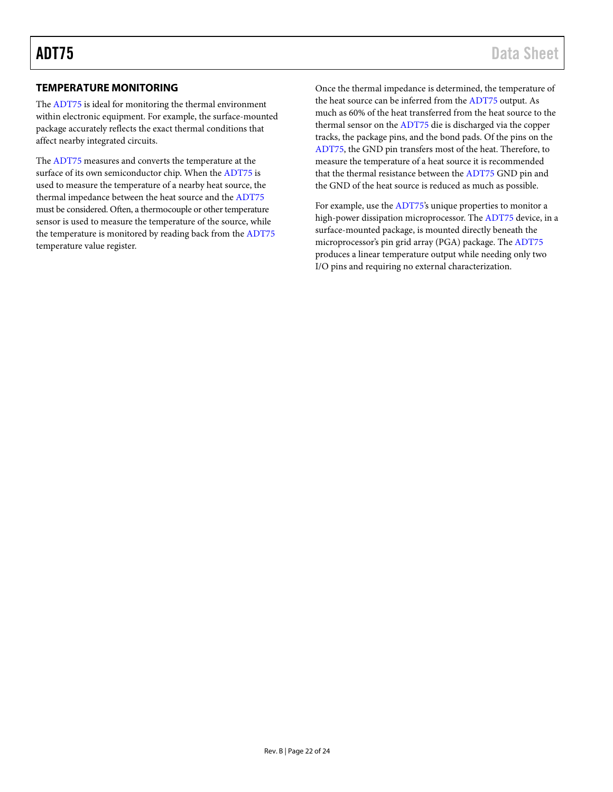#### <span id="page-21-0"></span>**TEMPERATURE MONITORING**

The [ADT75](http://www.analog.com/ADT75) is ideal for monitoring the thermal environment within electronic equipment. For example, the surface-mounted package accurately reflects the exact thermal conditions that affect nearby integrated circuits.

The [ADT75](http://www.analog.com/ADT75) measures and converts the temperature at the surface of its own semiconductor chip. When the [ADT75](http://www.analog.com/ADT75) is used to measure the temperature of a nearby heat source, the thermal impedance between the heat source and th[e ADT75](http://www.analog.com/ADT75) must be considered. Often, a thermocouple or other temperature sensor is used to measure the temperature of the source, while the temperature is monitored by reading back from th[e ADT75](http://www.analog.com/ADT75) temperature value register.

Once the thermal impedance is determined, the temperature of the heat source can be inferred from the [ADT75](http://www.analog.com/ADT75) output. As much as 60% of the heat transferred from the heat source to the thermal sensor on the [ADT75](http://www.analog.com/ADT75) die is discharged via the copper tracks, the package pins, and the bond pads. Of the pins on the [ADT75,](http://www.analog.com/ADT75) the GND pin transfers most of the heat. Therefore, to measure the temperature of a heat source it is recommended that the thermal resistance between th[e ADT75](http://www.analog.com/ADT75) GND pin and the GND of the heat source is reduced as much as possible.

For example, use the [ADT75's](http://www.analog.com/ADT75) unique properties to monitor a high-power dissipation microprocessor. Th[e ADT75](http://www.analog.com/ADT75) device, in a surface-mounted package, is mounted directly beneath the microprocessor's pin grid array (PGA) package. Th[e ADT75](http://www.analog.com/ADT75) produces a linear temperature output while needing only two I/O pins and requiring no external characterization.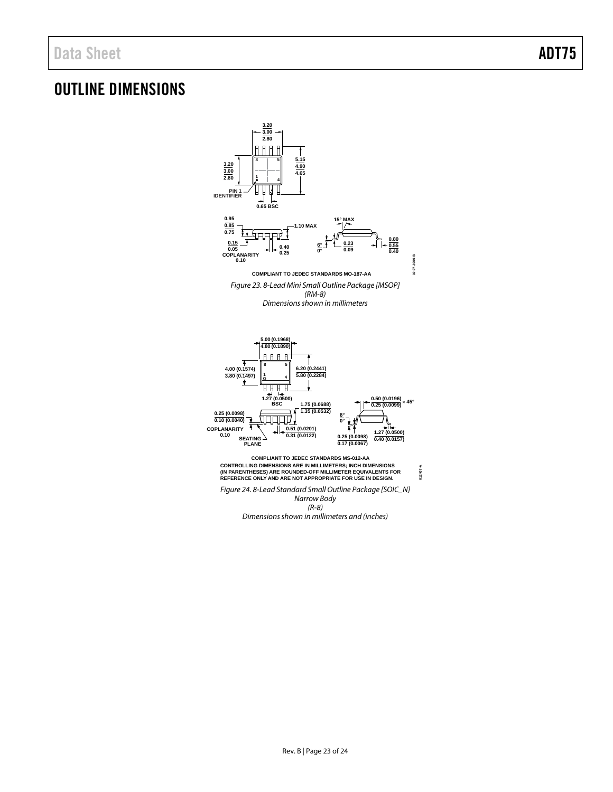## <span id="page-22-0"></span>OUTLINE DIMENSIONS